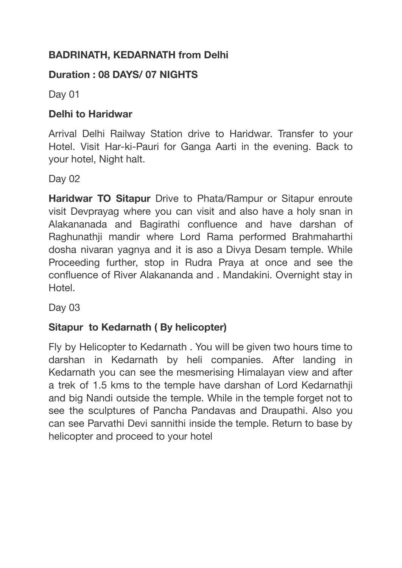# **BADRINATH, KEDARNATH from Delhi**

## **Duration : 08 DAYS/ 07 NIGHTS**

Day 01

#### **Delhi to Haridwar**

Arrival Delhi Railway Station drive to Haridwar. Transfer to your Hotel. Visit Har-ki-Pauri for Ganga Aarti in the evening. Back to your hotel, Night halt.

Day 02

**Haridwar TO Sitapur** Drive to Phata/Rampur or Sitapur enroute visit Devprayag where you can visit and also have a holy snan in Alakananada and Bagirathi confluence and have darshan of Raghunathji mandir where Lord Rama performed Brahmaharthi dosha nivaran yagnya and it is aso a Divya Desam temple. While Proceeding further, stop in Rudra Praya at once and see the confluence of River Alakananda and . Mandakini. Overnight stay in Hotel.

Day 03

# **Sitapur to Kedarnath ( By helicopter)**

Fly by Helicopter to Kedarnath . You will be given two hours time to darshan in Kedarnath by heli companies. After landing in Kedarnath you can see the mesmerising Himalayan view and after a trek of 1.5 kms to the temple have darshan of Lord Kedarnathji and big Nandi outside the temple. While in the temple forget not to see the sculptures of Pancha Pandavas and Draupathi. Also you can see Parvathi Devi sannithi inside the temple. Return to base by helicopter and proceed to your hotel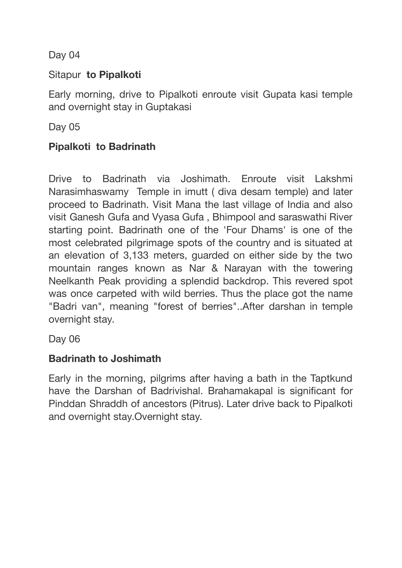Day 04

## Sitapur **to Pipalkoti**

Early morning, drive to Pipalkoti enroute visit Gupata kasi temple and overnight stay in Guptakasi

Day 05

### **Pipalkoti to Badrinath**

Drive to Badrinath via Joshimath. Enroute visit Lakshmi Narasimhaswamy Temple in imutt ( diva desam temple) and later proceed to Badrinath. Visit Mana the last village of India and also visit Ganesh Gufa and Vyasa Gufa , Bhimpool and saraswathi River starting point. Badrinath one of the 'Four Dhams' is one of the most celebrated pilgrimage spots of the country and is situated at an elevation of 3,133 meters, guarded on either side by the two mountain ranges known as Nar & Narayan with the towering Neelkanth Peak providing a splendid backdrop. This revered spot was once carpeted with wild berries. Thus the place got the name "Badri van", meaning "forest of berries"..After darshan in temple overnight stay.

Day 06

## **Badrinath to Joshimath**

Early in the morning, pilgrims after having a bath in the Taptkund have the Darshan of Badrivishal. Brahamakapal is significant for Pinddan Shraddh of ancestors (Pitrus). Later drive back to Pipalkoti and overnight stay.Overnight stay.